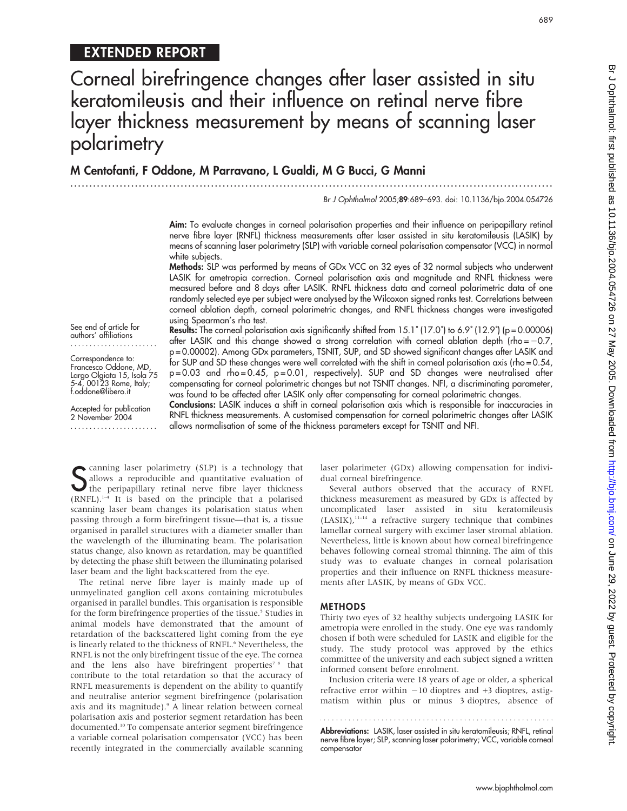# EXTENDED REPORT

Corneal birefringence changes after laser assisted in situ keratomileusis and their influence on retinal nerve fibre layer thickness measurement by means of scanning laser polarimetry

...............................................................................................................................

M Centofanti, F Oddone, M Parravano, L Gualdi, M G Bucci, G Manni

Br J Ophthalmol 2005;89:689–693. doi: 10.1136/bjo.2004.054726

Aim: To evaluate changes in corneal polarisation properties and their influence on peripapillary retinal nerve fibre layer (RNFL) thickness measurements after laser assisted in situ keratomileusis (LASIK) by means of scanning laser polarimetry (SLP) with variable corneal polarisation compensator (VCC) in normal white subjects.

Methods: SLP was performed by means of GDx VCC on 32 eyes of 32 normal subjects who underwent LASIK for ametropia correction. Corneal polarisation axis and magnitude and RNFL thickness were measured before and 8 days after LASIK. RNFL thickness data and corneal polarimetric data of one randomly selected eye per subject were analysed by the Wilcoxon signed ranks test. Correlations between corneal ablation depth, corneal polarimetric changes, and RNFL thickness changes were investigated using Spearman's rho test.

See end of article for authors' affiliations .......................

Correspondence to: Francesco Oddone, MD, Largo Olgiata 15, Isola 75 5-4, 00123 Rome, Italy; f.oddone@libero.it

Accepted for publication 2 November 2004 ....................... Results: The corneal polarisation axis significantly shifted from 15.1° (17.0°) to 6.9° (12.9°) (p = 0.00006) after LASIK and this change showed a strong correlation with corneal ablation depth (rho =  $-0.7$ , p = 0.00002). Among GDx parameters, TSNIT, SUP, and SD showed significant changes after LASIK and for SUP and SD these changes were well correlated with the shift in corneal polarisation axis (rho = 0.54, p = 0.03 and rho = 0.45, p = 0.01, respectively). SUP and SD changes were neutralised after compensating for corneal polarimetric changes but not TSNIT changes. NFI, a discriminating parameter, was found to be affected after LASIK only after compensating for corneal polarimetric changes.

Conclusions: LASIK induces a shift in corneal polarisation axis which is responsible for inaccuracies in RNFL thickness measurements. A customised compensation for corneal polarimetric changes after LASIK allows normalisation of some of the thickness parameters except for TSNIT and NFI.

Sallows a reproducible and quantitative evaluation of<br>the peripapillary retinal nerve fibre layer thickness<br>(PNEL) <sup>1-4</sup> It is based on the principle that a polarized allows a reproducible and quantitative evaluation of the peripapillary retinal nerve fibre layer thickness (RNFL).1–4 It is based on the principle that a polarised scanning laser beam changes its polarisation status when passing through a form birefringent tissue—that is, a tissue organised in parallel structures with a diameter smaller than the wavelength of the illuminating beam. The polarisation status change, also known as retardation, may be quantified by detecting the phase shift between the illuminating polarised laser beam and the light backscattered from the eye.

The retinal nerve fibre layer is mainly made up of unmyelinated ganglion cell axons containing microtubules organised in parallel bundles. This organisation is responsible for the form birefringence properties of the tissue.<sup>5</sup> Studies in animal models have demonstrated that the amount of retardation of the backscattered light coming from the eye is linearly related to the thickness of RNFL.<sup>6</sup> Nevertheless, the RNFL is not the only birefringent tissue of the eye. The cornea and the lens also have birefringent properties<sup>78</sup> that contribute to the total retardation so that the accuracy of RNFL measurements is dependent on the ability to quantify and neutralise anterior segment birefringence (polarisation axis and its magnitude).<sup>9</sup> A linear relation between corneal polarisation axis and posterior segment retardation has been documented.10 To compensate anterior segment birefringence a variable corneal polarisation compensator (VCC) has been recently integrated in the commercially available scanning laser polarimeter (GDx) allowing compensation for individual corneal birefringence.

Several authors observed that the accuracy of RNFL thickness measurement as measured by GDx is affected by uncomplicated laser assisted in situ keratomileusis  $(LASIK),$ <sup>11-14</sup> a refractive surgery technique that combines lamellar corneal surgery with excimer laser stromal ablation. Nevertheless, little is known about how corneal birefringence behaves following corneal stromal thinning. The aim of this study was to evaluate changes in corneal polarisation properties and their influence on RNFL thickness measurements after LASIK, by means of GDx VCC.

### METHODS

Thirty two eyes of 32 healthy subjects undergoing LASIK for ametropia were enrolled in the study. One eye was randomly chosen if both were scheduled for LASIK and eligible for the study. The study protocol was approved by the ethics committee of the university and each subject signed a written informed consent before enrolment.

Inclusion criteria were 18 years of age or older, a spherical refractive error within  $-10$  dioptres and  $+3$  dioptres, astigmatism within plus or minus 3 dioptres, absence of

Abbreviations: LASIK, laser assisted in situ keratomileusis; RNFL, retinal nerve fibre layer; SLP, scanning laser polarimetry; VCC, variable corneal compensator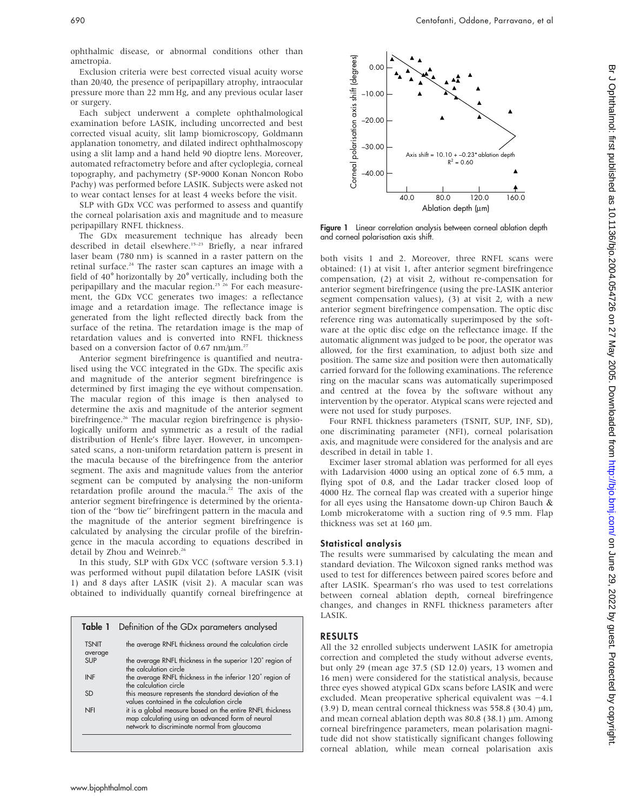ophthalmic disease, or abnormal conditions other than ametropia.

Exclusion criteria were best corrected visual acuity worse than 20/40, the presence of peripapillary atrophy, intraocular pressure more than 22 mm Hg, and any previous ocular laser or surgery.

Each subject underwent a complete ophthalmological examination before LASIK, including uncorrected and best corrected visual acuity, slit lamp biomicroscopy, Goldmann applanation tonometry, and dilated indirect ophthalmoscopy using a slit lamp and a hand held 90 dioptre lens. Moreover, automated refractometry before and after cycloplegia, corneal topography, and pachymetry (SP-9000 Konan Noncon Robo Pachy) was performed before LASIK. Subjects were asked not to wear contact lenses for at least 4 weeks before the visit.

SLP with GDx VCC was performed to assess and quantify the corneal polarisation axis and magnitude and to measure peripapillary RNFL thickness.

The GDx measurement technique has already been described in detail elsewhere.<sup>15-23</sup> Briefly, a near infrared laser beam (780 nm) is scanned in a raster pattern on the retinal surface.<sup>24</sup> The raster scan captures an image with a field of 40° horizontally by 20° vertically, including both the peripapillary and the macular region.<sup>25</sup> <sup>26</sup> For each measurement, the GDx VCC generates two images: a reflectance image and a retardation image. The reflectance image is generated from the light reflected directly back from the surface of the retina. The retardation image is the map of retardation values and is converted into RNFL thickness based on a conversion factor of 0.67 nm/ $\mu$ m.<sup>27</sup>

Anterior segment birefringence is quantified and neutralised using the VCC integrated in the GDx. The specific axis and magnitude of the anterior segment birefringence is determined by first imaging the eye without compensation. The macular region of this image is then analysed to determine the axis and magnitude of the anterior segment birefringence.<sup>26</sup> The macular region birefringence is physiologically uniform and symmetric as a result of the radial distribution of Henle's fibre layer. However, in uncompensated scans, a non-uniform retardation pattern is present in the macula because of the birefringence from the anterior segment. The axis and magnitude values from the anterior segment can be computed by analysing the non-uniform retardation profile around the macula.<sup>22</sup> The axis of the anterior segment birefringence is determined by the orientation of the ''bow tie'' birefringent pattern in the macula and the magnitude of the anterior segment birefringence is calculated by analysing the circular profile of the birefringence in the macula according to equations described in detail by Zhou and Weinreb.<sup>26</sup>

In this study, SLP with GDx VCC (software version 5.3.1) was performed without pupil dilatation before LASIK (visit 1) and 8 days after LASIK (visit 2). A macular scan was obtained to individually quantify corneal birefringence at

| Table 1 Definition of the GDx parameters analysed                                                                                                             |
|---------------------------------------------------------------------------------------------------------------------------------------------------------------|
| the average RNFL thickness around the calculation circle                                                                                                      |
| the average RNFL thickness in the superior 120° region of<br>the calculation circle                                                                           |
| the average RNFL thickness in the inferior 120° region of<br>the calculation circle                                                                           |
| this measure represents the standard deviation of the<br>values contained in the calculation circle                                                           |
| it is a global measure based on the entire RNFL thickness<br>map calculating using an advanced form of neural<br>network to discriminate normal from glaucoma |
|                                                                                                                                                               |



**Figure 1** Linear correlation analysis between corneal ablation depth and corneal polarisation axis shift.

both visits 1 and 2. Moreover, three RNFL scans were obtained: (1) at visit 1, after anterior segment birefringence compensation, (2) at visit 2, without re-compensation for anterior segment birefringence (using the pre-LASIK anterior segment compensation values), (3) at visit 2, with a new anterior segment birefringence compensation. The optic disc reference ring was automatically superimposed by the software at the optic disc edge on the reflectance image. If the automatic alignment was judged to be poor, the operator was allowed, for the first examination, to adjust both size and position. The same size and position were then automatically carried forward for the following examinations. The reference ring on the macular scans was automatically superimposed and centred at the fovea by the software without any intervention by the operator. Atypical scans were rejected and were not used for study purposes.

Four RNFL thickness parameters (TSNIT, SUP, INF, SD), one discriminating parameter (NFI), corneal polarisation axis, and magnitude were considered for the analysis and are described in detail in table 1.

Excimer laser stromal ablation was performed for all eyes with Ladarvision 4000 using an optical zone of 6.5 mm, a flying spot of 0.8, and the Ladar tracker closed loop of 4000 Hz. The corneal flap was created with a superior hinge for all eyes using the Hansatome down-up Chiron Bauch & Lomb microkeratome with a suction ring of 9.5 mm. Flap thickness was set at  $160 \mu m$ .

## Statistical analysis

The results were summarised by calculating the mean and standard deviation. The Wilcoxon signed ranks method was used to test for differences between paired scores before and after LASIK. Spearman's rho was used to test correlations between corneal ablation depth, corneal birefringence changes, and changes in RNFL thickness parameters after LASIK.

## RESULTS

All the 32 enrolled subjects underwent LASIK for ametropia correction and completed the study without adverse events, but only 29 (mean age 37.5 (SD 12.0) years, 13 women and 16 men) were considered for the statistical analysis, because three eyes showed atypical GDx scans before LASIK and were excluded. Mean preoperative spherical equivalent was  $-4.1$  $(3.9)$  D, mean central corneal thickness was 558.8 (30.4)  $\mu$ m, and mean corneal ablation depth was  $80.8$  (38.1)  $\mu$ m. Among corneal birefringence parameters, mean polarisation magnitude did not show statistically significant changes following corneal ablation, while mean corneal polarisation axis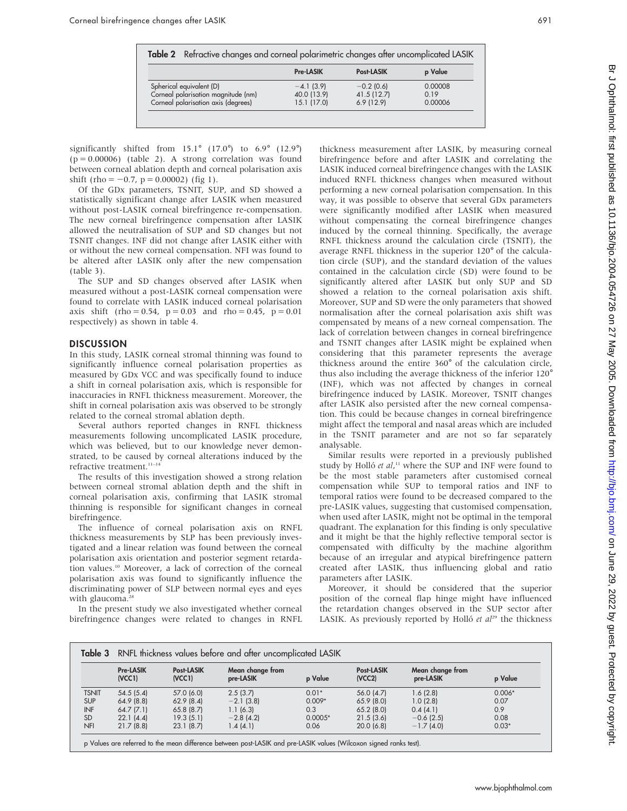|                                     | <b>Pre-LASIK</b> | Post-LASIK   | p Value |
|-------------------------------------|------------------|--------------|---------|
| Spherical equivalent (D)            | $-4.1(3.9)$      | $-0.2$ (0.6) | 0.00008 |
| Corneal polarisation magnitude (nm) | 40.0 (13.9)      | 41.5(12.7)   | 0.19    |
| Corneal polarisation axis (degrees) | 15.1(17.0)       | 6.9(12.9)    | 0.00006 |

significantly shifted from  $15.1^\circ$  (17.0°) to  $6.9^\circ$  (12.9°)  $(p = 0.00006)$  (table 2). A strong correlation was found between corneal ablation depth and corneal polarisation axis shift (rho =  $-0.7$ , p = 0.00002) (fig 1).

Of the GDx parameters, TSNIT, SUP, and SD showed a statistically significant change after LASIK when measured without post-LASIK corneal birefringence re-compensation. The new corneal birefringence compensation after LASIK allowed the neutralisation of SUP and SD changes but not TSNIT changes. INF did not change after LASIK either with or without the new corneal compensation. NFI was found to be altered after LASIK only after the new compensation (table 3).

The SUP and SD changes observed after LASIK when measured without a post-LASIK corneal compensation were found to correlate with LASIK induced corneal polarisation axis shift (rho = 0.54,  $p = 0.03$  and rho = 0.45,  $p = 0.01$ respectively) as shown in table 4.

### **DISCUSSION**

In this study, LASIK corneal stromal thinning was found to significantly influence corneal polarisation properties as measured by GDx VCC and was specifically found to induce a shift in corneal polarisation axis, which is responsible for inaccuracies in RNFL thickness measurement. Moreover, the shift in corneal polarisation axis was observed to be strongly related to the corneal stromal ablation depth.

Several authors reported changes in RNFL thickness measurements following uncomplicated LASIK procedure, which was believed, but to our knowledge never demonstrated, to be caused by corneal alterations induced by the refractive treatment.<sup>11-14</sup>

The results of this investigation showed a strong relation between corneal stromal ablation depth and the shift in corneal polarisation axis, confirming that LASIK stromal thinning is responsible for significant changes in corneal birefringence.

The influence of corneal polarisation axis on RNFL thickness measurements by SLP has been previously investigated and a linear relation was found between the corneal polarisation axis orientation and posterior segment retardation values.<sup>10</sup> Moreover, a lack of correction of the corneal polarisation axis was found to significantly influence the discriminating power of SLP between normal eyes and eyes with glaucoma.<sup>28</sup>

In the present study we also investigated whether corneal birefringence changes were related to changes in RNFL thickness measurement after LASIK, by measuring corneal birefringence before and after LASIK and correlating the LASIK induced corneal birefringence changes with the LASIK induced RNFL thickness changes when measured without performing a new corneal polarisation compensation. In this way, it was possible to observe that several GDx parameters were significantly modified after LASIK when measured without compensating the corneal birefringence changes induced by the corneal thinning. Specifically, the average RNFL thickness around the calculation circle (TSNIT), the average RNFL thickness in the superior 120˚ of the calculation circle (SUP), and the standard deviation of the values contained in the calculation circle (SD) were found to be significantly altered after LASIK but only SUP and SD showed a relation to the corneal polarisation axis shift. Moreover, SUP and SD were the only parameters that showed normalisation after the corneal polarisation axis shift was compensated by means of a new corneal compensation. The lack of correlation between changes in corneal birefringence and TSNIT changes after LASIK might be explained when considering that this parameter represents the average thickness around the entire  $360^\circ$  of the calculation circle, thus also including the average thickness of the inferior  $120^\circ$ (INF), which was not affected by changes in corneal birefringence induced by LASIK. Moreover, TSNIT changes after LASIK also persisted after the new corneal compensation. This could be because changes in corneal birefringence might affect the temporal and nasal areas which are included in the TSNIT parameter and are not so far separately analysable.

Similar results were reported in a previously published study by Holló et al,<sup>11</sup> where the SUP and INF were found to be the most stable parameters after customised corneal compensation while SUP to temporal ratios and INF to temporal ratios were found to be decreased compared to the pre-LASIK values, suggesting that customised compensation, when used after LASIK, might not be optimal in the temporal quadrant. The explanation for this finding is only speculative and it might be that the highly reflective temporal sector is compensated with difficulty by the machine algorithm because of an irregular and atypical birefringence pattern created after LASIK, thus influencing global and ratio parameters after LASIK.

Moreover, it should be considered that the superior position of the corneal flap hinge might have influenced the retardation changes observed in the SUP sector after LASIK. As previously reported by Holló et  $al^{29}$  the thickness

| Table 3      | RNFL thickness values before and after uncomplicated LASIK |                      |                               |           |                      |                               |          |
|--------------|------------------------------------------------------------|----------------------|-------------------------------|-----------|----------------------|-------------------------------|----------|
|              | <b>Pre-LASIK</b><br>(VCC1)                                 | Post-LASIK<br>(VCC1) | Mean change from<br>pre-LASIK | p Value   | Post-LASIK<br>(VCC2) | Mean change from<br>pre-LASIK | p Value  |
| <b>TSNIT</b> | 54.5(5.4)                                                  | 57.0 (6.0)           | 2.5(3.7)                      | $0.01*$   | 56.0 (4.7)           | 1.6(2.8)                      | $0.006*$ |
| <b>SUP</b>   | 64.9(8.8)                                                  | 62.9(8.4)            | $-2.1(3.8)$                   | $0.009*$  | 65.9(8.0)            | 1.0(2.8)                      | 0.07     |
| <b>INF</b>   | 64.7(7.1)                                                  | 65.8(8.7)            | 1.1(6.3)                      | 0.3       | $65.2$ (8.0)         | 0.4(4.1)                      | 0.9      |
| <b>SD</b>    | 22.1(4.4)                                                  | 19.3(5.1)            | $-2.8(4.2)$                   | $0.0005*$ | 21.5(3.6)            | $-0.6$ (2.5)                  | 0.08     |
| <b>NFI</b>   | 21.7(8.8)                                                  | 23.1(8.7)            | 1.4(4.1)                      | 0.06      | 20.0(6.8)            | $-1.7(4.0)$                   | $0.03*$  |

p Values are referred to the mean difference between post-LASIK and pre-LASIK values (Wilcoxon signed ranks test).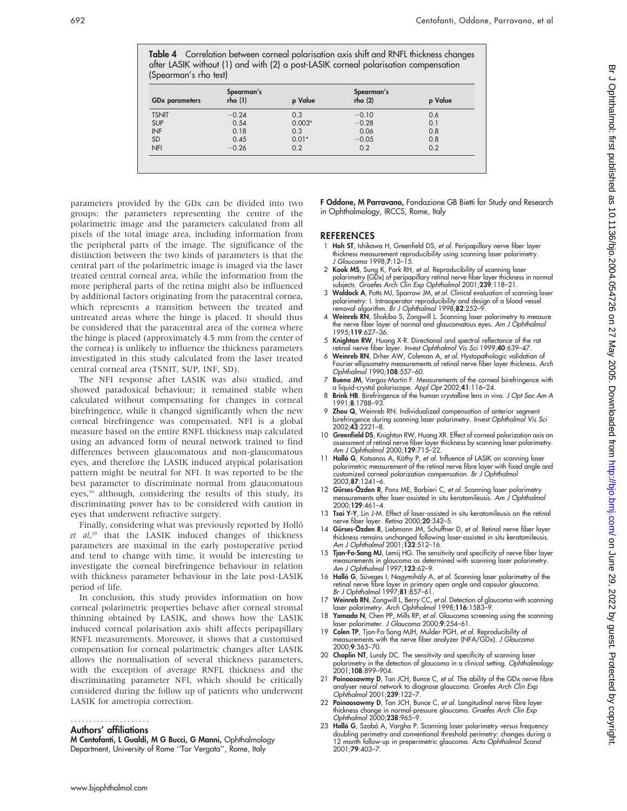Table 4 Correlation between corneal polarisation axis shift and RNFL thickness changes after LASIK without (1) and with (2) a post-LASIK corneal polarisation compensation (Spearman's rho test)

| <b>GDx</b> parameters | Spearman's<br>rho(1) | p Value  | Spearman's<br>rho(2) | p Value |  |
|-----------------------|----------------------|----------|----------------------|---------|--|
| <b>TSNIT</b>          | $-0.24$              | 0.3      | $-0.10$              | 0.6     |  |
| <b>SUP</b>            | 0.54                 | $0.003*$ | $-0.28$              | 0.1     |  |
| INF                   | 0.18                 | 0.3      | 0.06                 | 0.8     |  |
| SD                    | 0.45                 | $0.01*$  | $-0.05$              | 0.8     |  |
| <b>NFI</b>            | $-0.26$              | 0.2      | 0.2                  | 0.2     |  |

parameters provided by the GDx can be divided into two groups: the parameters representing the centre of the polarimetric image and the parameters calculated from all pixels of the total image area, including information from the peripheral parts of the image. The significance of the distinction between the two kinds of parameters is that the central part of the polarimetric image is imaged via the laser treated central corneal area, while the information from the more peripheral parts of the retina might also be influenced by additional factors originating from the paracentral cornea, which represents a transition between the treated and untreated areas where the hinge is placed. It should thus be considered that the paracentral area of the cornea where the hinge is placed (approximately 4.5 mm from the center of the cornea) is unlikely to influence the thickness parameters investigated in this study calculated from the laser treated central corneal area (TSNIT, SUP, INF, SD).

The NFI response after LASIK was also studied, and showed paradoxical behaviour; it remained stable when calculated without compensating for changes in corneal birefringence, while it changed significantly when the new corneal birefringence was compensated. NFI is a global measure based on the entire RNFL thickness map calculated using an advanced form of neural network trained to find differences between glaucomatous and non-glaucomatous eyes, and therefore the LASIK induced atypical polarisation pattern might be neutral for NFI. It was reported to be the best parameter to discriminate normal from glaucomatous eyes,<sup>30</sup> although, considering the results of this study, its discriminating power has to be considered with caution in eyes that underwent refractive surgery.

Finally, considering what was previously reported by Holló et al,<sup>29</sup> that the LASIK induced changes of thickness parameters are maximal in the early postoperative period and tend to change with time, it would be interesting to investigate the corneal birefringence behaviour in relation with thickness parameter behaviour in the late post-LASIK period of life.

In conclusion, this study provides information on how corneal polarimetric properties behave after corneal stromal thinning obtained by LASIK, and shows how the LASIK induced corneal polarisation axis shift affects peripapillary RNFL measurements. Moreover, it shows that a customised compensation for corneal polarimetric changes after LASIK allows the normalisation of several thickness parameters, with the exception of average RNFL thickness and the discriminating parameter NFI, which should be critically considered during the follow up of patients who underwent LASIK for ametropia correction.

## .....................

## Authors' affiliations

M Centofanti, L Gualdi, M G Bucci, G Manni, Ophthalmology Department, University of Rome ''Tor Vergata'', Rome, Italy

F Oddone, M Parravano, Fondazione GB Bietti for Study and Research in Ophthalmology, IRCCS, Rome, Italy

#### **REFERENCES**

- 1 Hoh ST, Ishikawa H, Greenfield DS, et al. Peripapillary nerve fiber layer thickness measurement reproducibility using scanning laser polarimetry. J Glaucoma 1998;7:12–15.
- 2 Kook MS, Sung K, Park RH, et al. Reproducibility of scanning laser polarimetry (GDx) of peripapillary retinal nerve fiber layer thickness in normal<br>subjects. *Graefes Arch Clin Exp Ophthalmol* 2001;**239**:118–21.
- 3 Waldock A, Potts MJ, Sparrow JM, et al. Clinical evaluation of scanning laser polarimetry: I. Intraoperator reproducibility and design of a blood vessel removal algorithm. Br J Ophthalmol 1998;82:252-9.
- 4 Weinreb RN, Shakiba S, Zangwill L. Scanning laser polarimetry to measure the nerve fiber layer of normal and glaucomatous eyes. Am J Ophthalmol 1995;119:627–36.
- 5 Knighton RW, Huang X-R. Directional and spectral reflectance of the rat retinal nerve fiber layer. Invest Ophthalmol Vis Sci 1999;40:639-47.
- 6 Weinreb RN, Drher AW, Coleman A, et al. Hystopathologic validation of Fourier-ellipsometry measurements of retinal nerve fiber layer thickness. Arch Ophthalmol 1990;108:557–60.
- 7 **Bueno JM**, Vargas-Martin F. Measurements of the corneal birefringence with<br>| a liquid-crystal polariscope. Appl Opt 2002;**41**:116–24.<br>| **8 Brink HB**. Birefringence of the human crystalline lens in vivo. *J Opt Soc Am A*
- 1991;8:1788–93.
- 9 Zhou Q, Weinreb RN. Individualized compensation of anterior segment birefringence during scanning laser polarimetry. Invest Ophthalmol Vis Sci 2002;43:2221–8.
- 10 Greenfield DS, Knighton RW, Huang XR. Effect of corneal polarization axis on assessment of retinal nerve fiber layer thickness by scanning laser polarimetry. Am J Ophthalmol 2000;129:715–22.
- 11 Holló G, Katsanos A, Kóthy P, et al. Influence of LASIK on scanning laser polarimetric measurement of the retinal nerve fibre layer with fixed angle and customized corneal polarization compensation. Br J Ophthalmol 2003;87:1241–6.
- 12 Gürses-Özden R, Pons ME, Barbieri C, et al. Scanning laser polarimetry measurements after laser-assisted in situ keratomileusis. Am J Ophthalmol 2000;129:461–4.
- 13 Tsai Y-Y, Lin J-M. Effect of laser-assisted in situ keratomileusis on the retinal nerve fiber layer. Retina 2000;20:342–5.
- 14 Gürses-Özden R, Liebmann JM, Schuffner D, et al. Retinal nerve fiber layer thickness remains unchanged following laser-assisted in situ keratomileusis. Am J Ophthalmol 2001;132:512–16.
- 15 Tjon-Fo-Sang MJ, Lemij HG. The sensitivity and specificity of nerve fiber layer measurements in glaucoma as determined with scanning laser polarimetry.<br>A*m J Ophthalmol* 1997;**123**:62–9.
- 16 **Holló G**, Süveges I, Nagymihály A, *et al*. Scanning laser polarimetry of the<br>retinal nerve fibre layer in primary open angle and capsular glaucoma.<br>Br J Ophthalmol 1997;**81**:857–61.
- 17 Weinreb RN, Zangwill L, Berry CC, et al. Detection of glaucoma with scanning laser polarimetry. Arch Ophthalmol 1998;116:1583-9.
- 18 Yamada N, Chen PP, Mills RP, et al. Glaucoma screening using the scanning laser polarimeter. J Glaucoma 2000;9:254-61.
- 19 Colen TP, Tjon-Fo-Sang MJH, Mulder PGH, et al. Reproducibility of measurements with the nerve fiber analyzer (NFA/GDx). J Glaucoma 2000;9:363–70.
- 20 Choplin NT, Lundy DC. The sensitivity and specificity of scanning laser polarimetry in the detection of glaucoma in a clinical setting. Ophthalmology 2001;108:899–904.
- 21 **Poinoosawmy D**, Tan JCH, Bunce C, et al. The ability of the GDx nerve fibre analyser neural network to diagnose glaucoma. Graefes Arch Clin Exp Ophthalmol 2001;239:122–7.
- 22 Poinoosawmy D, Tan JCH, Bunce C, et al. Longitudinal nerve fibre layer thickness change in normal-pressure glaucoma. Graefes Arch Clin Exp Ophthalmol 2000;238:965–9.
- 23 **Holló G**, Szabó A, Vargha P. Scanning laser polarimetry versus frequency<br>doubling perimetry and conventional threshold perimetry: changes during a 12 month follow-up in preperimetric glaucoma. Acta Ophthalmol Scand 2001;79:403–7.